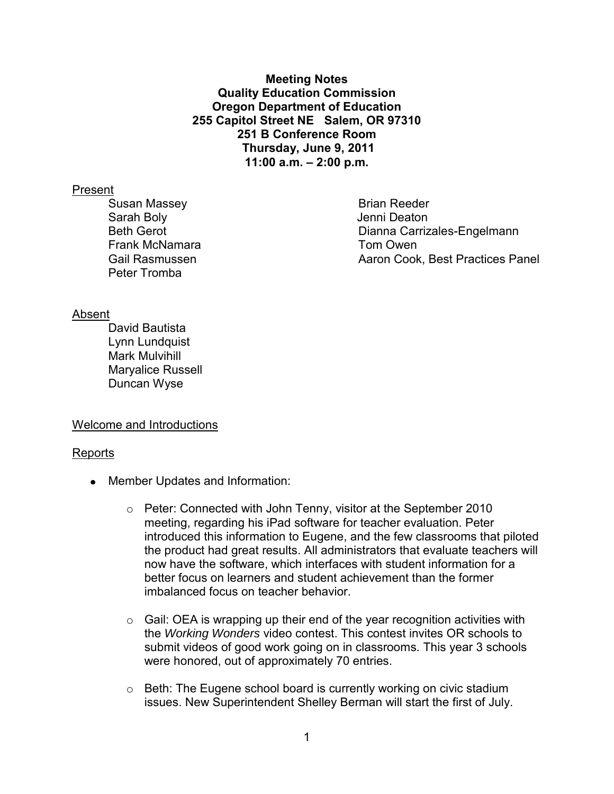**Meeting Notes Quality Education Commission Oregon Department of Education 255 Capitol Street NE Salem, OR 97310 251 B Conference Room Thursday, June 9, 2011 11:00 a.m. – 2:00 p.m.**

### Present

Susan Massey **Brian Reeder** Brian Reeder Sarah Boly **Garah Boly Jenni Deaton** Frank McNamara **Tom Owen** Peter Tromba

Beth Gerot **Dianna Carrizales-Engelmann** Gail Rasmussen **Aaron Cook, Best Practices Panel** 

#### Absent

David Bautista Lynn Lundquist Mark Mulvihill Maryalice Russell Duncan Wyse

## Welcome and Introductions

#### Reports

- Member Updates and Information:
	- o Peter: Connected with John Tenny, visitor at the September 2010 meeting, regarding his iPad software for teacher evaluation. Peter introduced this information to Eugene, and the few classrooms that piloted the product had great results. All administrators that evaluate teachers will now have the software, which interfaces with student information for a better focus on learners and student achievement than the former imbalanced focus on teacher behavior.
	- $\circ$  Gail: OEA is wrapping up their end of the year recognition activities with the *Working Wonders* video contest. This contest invites OR schools to submit videos of good work going on in classrooms. This year 3 schools were honored, out of approximately 70 entries.
	- o Beth: The Eugene school board is currently working on civic stadium issues. New Superintendent Shelley Berman will start the first of July.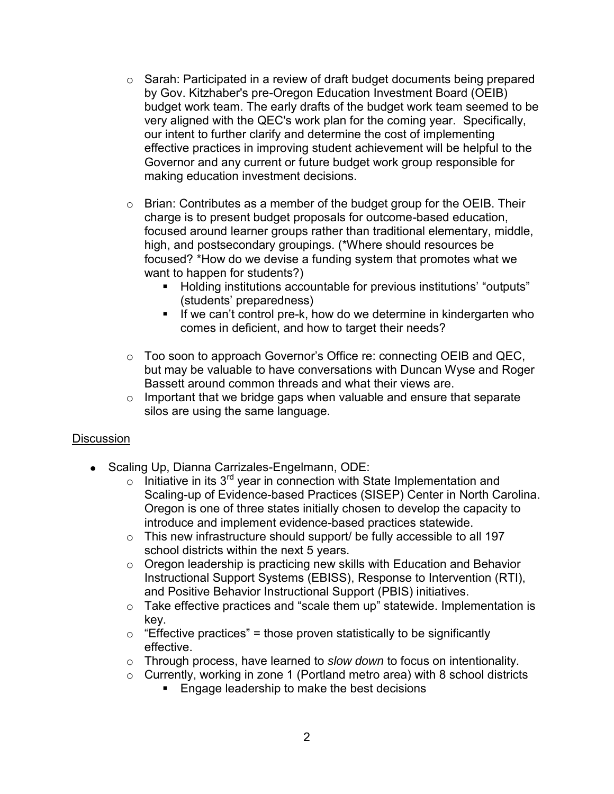- $\circ$  Sarah: Participated in a review of draft budget documents being prepared by Gov. Kitzhaber's pre-Oregon Education Investment Board (OEIB) budget work team. The early drafts of the budget work team seemed to be very aligned with the QEC's work plan for the coming year. Specifically, our intent to further clarify and determine the cost of implementing effective practices in improving student achievement will be helpful to the Governor and any current or future budget work group responsible for making education investment decisions.
- $\circ$  Brian: Contributes as a member of the budget group for the OEIB. Their charge is to present budget proposals for outcome-based education, focused around learner groups rather than traditional elementary, middle, high, and postsecondary groupings. (\*Where should resources be focused? \*How do we devise a funding system that promotes what we want to happen for students?)
	- Holding institutions accountable for previous institutions' "outputs" (students' preparedness)
	- **If we can't control pre-k, how do we determine in kindergarten who** comes in deficient, and how to target their needs?
- $\circ$  Too soon to approach Governor's Office re: connecting OEIB and QEC, but may be valuable to have conversations with Duncan Wyse and Roger Bassett around common threads and what their views are.
- $\circ$  Important that we bridge gaps when valuable and ensure that separate silos are using the same language.

## **Discussion**

- Scaling Up, Dianna Carrizales-Engelmann, ODE:
	- $\circ$  Initiative in its 3<sup>rd</sup> year in connection with State Implementation and Scaling-up of Evidence-based Practices (SISEP) Center in North Carolina. Oregon is one of three states initially chosen to develop the capacity to introduce and implement evidence-based practices statewide.
	- $\circ$  This new infrastructure should support/ be fully accessible to all 197 school districts within the next 5 years.
	- o Oregon leadership is practicing new skills with Education and Behavior Instructional Support Systems (EBISS), Response to Intervention (RTI), and Positive Behavior Instructional Support (PBIS) initiatives.
	- o Take effective practices and "scale them up" statewide. Implementation is key.
	- $\circ$  "Effective practices" = those proven statistically to be significantly effective.
	- o Through process, have learned to *slow down* to focus on intentionality.
	- o Currently, working in zone 1 (Portland metro area) with 8 school districts
		- **Engage leadership to make the best decisions**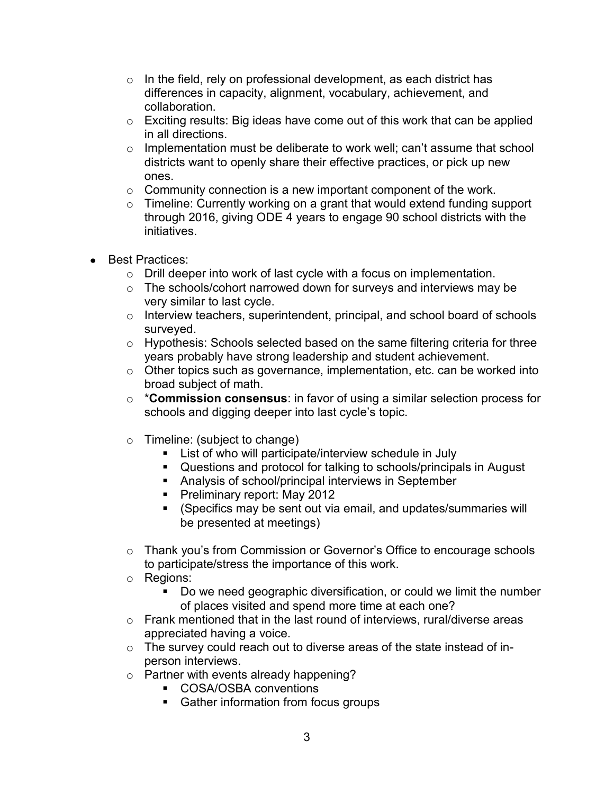- $\circ$  In the field, rely on professional development, as each district has differences in capacity, alignment, vocabulary, achievement, and collaboration.
- $\circ$  Exciting results: Big ideas have come out of this work that can be applied in all directions.
- o Implementation must be deliberate to work well; can't assume that school districts want to openly share their effective practices, or pick up new ones.
- $\circ$  Community connection is a new important component of the work.
- o Timeline: Currently working on a grant that would extend funding support through 2016, giving ODE 4 years to engage 90 school districts with the initiatives.
- Best Practices:
	- o Drill deeper into work of last cycle with a focus on implementation.
	- o The schools/cohort narrowed down for surveys and interviews may be very similar to last cycle.
	- o Interview teachers, superintendent, principal, and school board of schools surveyed.
	- o Hypothesis: Schools selected based on the same filtering criteria for three years probably have strong leadership and student achievement.
	- o Other topics such as governance, implementation, etc. can be worked into broad subject of math.
	- o \***Commission consensus**: in favor of using a similar selection process for schools and digging deeper into last cycle's topic.
	- o Timeline: (subject to change)
		- **EXECUTE:** List of who will participate/interview schedule in July
		- Questions and protocol for talking to schools/principals in August
		- Analysis of school/principal interviews in September
		- **Preliminary report: May 2012**
		- (Specifics may be sent out via email, and updates/summaries will be presented at meetings)
	- o Thank you's from Commission or Governor's Office to encourage schools to participate/stress the importance of this work.
	- o Regions:
		- Do we need geographic diversification, or could we limit the number of places visited and spend more time at each one?
	- o Frank mentioned that in the last round of interviews, rural/diverse areas appreciated having a voice.
	- o The survey could reach out to diverse areas of the state instead of inperson interviews.
	- o Partner with events already happening?
		- COSA/OSBA conventions
		- Gather information from focus groups